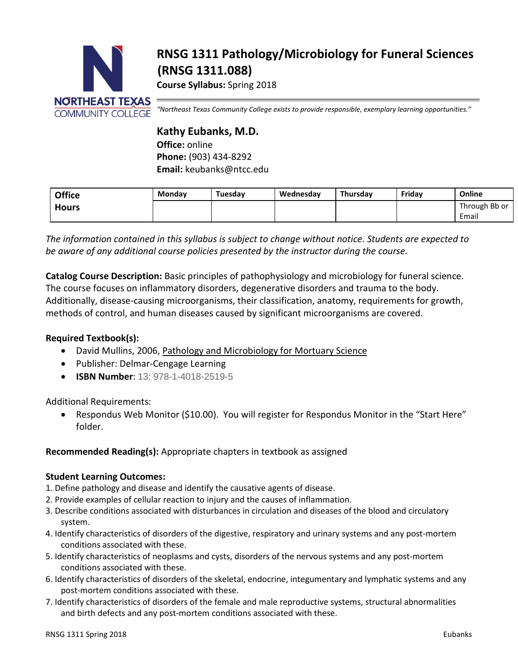

# **RNSG 1311 Pathology/Microbiology for Funeral Sciences (RNSG 1311.088)**

**Course Syllabus:** Spring 2018

*"Northeast Texas Community College exists to provide responsible, exemplary learning opportunities."*

## **Kathy Eubanks, M.D.**

**Office:** online **Phone:** (903) 434-8292 **Email:** keubanks@ntcc.edu

| <b>Office</b> | <b>Monday</b> | Tuesday | Wednesdav | Thursday | Fridav | Online        |
|---------------|---------------|---------|-----------|----------|--------|---------------|
| <b>Hours</b>  |               |         |           |          |        | Through Bb or |
|               |               |         |           |          |        | Email         |

*The information contained in this syllabus is subject to change without notice. Students are expected to be aware of any additional course policies presented by the instructor during the course.*

**Catalog Course Description:** Basic principles of pathophysiology and microbiology for funeral science. The course focuses on inflammatory disorders, degenerative disorders and trauma to the body. Additionally, disease-causing microorganisms, their classification, anatomy, requirements for growth, methods of control, and human diseases caused by significant microorganisms are covered.

#### **Required Textbook(s):**

- David Mullins, 2006, Pathology and Microbiology for Mortuary Science
- Publisher: Delmar-Cengage Learning
- **ISBN Number**: 13: 978-1-4018-2519-5

Additional Requirements:

• Respondus Web Monitor (\$10.00). You will register for Respondus Monitor in the "Start Here" folder.

#### **Recommended Reading(s):** Appropriate chapters in textbook as assigned

#### **Student Learning Outcomes:**

- 1. Define pathology and disease and identify the causative agents of disease.
- 2. Provide examples of cellular reaction to injury and the causes of inflammation.
- 3. Describe conditions associated with disturbances in circulation and diseases of the blood and circulatory system.
- 4. Identify characteristics of disorders of the digestive, respiratory and urinary systems and any post-mortem conditions associated with these.
- 5. Identify characteristics of neoplasms and cysts, disorders of the nervous systems and any post-mortem conditions associated with these.
- 6. Identify characteristics of disorders of the skeletal, endocrine, integumentary and lymphatic systems and any post-mortem conditions associated with these.
- 7. Identify characteristics of disorders of the female and male reproductive systems, structural abnormalities and birth defects and any post-mortem conditions associated with these.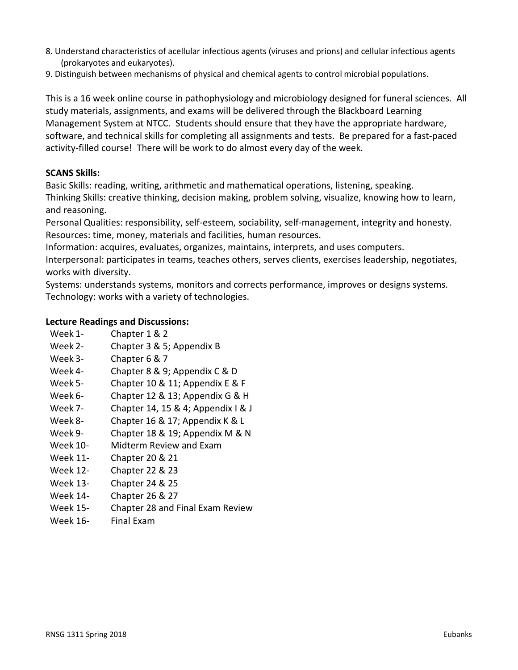- 8. Understand characteristics of acellular infectious agents (viruses and prions) and cellular infectious agents (prokaryotes and eukaryotes).
- 9. Distinguish between mechanisms of physical and chemical agents to control microbial populations.

This is a 16 week online course in pathophysiology and microbiology designed for funeral sciences. All study materials, assignments, and exams will be delivered through the Blackboard Learning Management System at NTCC. Students should ensure that they have the appropriate hardware, software, and technical skills for completing all assignments and tests. Be prepared for a fast-paced activity-filled course! There will be work to do almost every day of the week.

#### **SCANS Skills:**

Basic Skills: reading, writing, arithmetic and mathematical operations, listening, speaking.

Thinking Skills: creative thinking, decision making, problem solving, visualize, knowing how to learn, and reasoning.

Personal Qualities: responsibility, self-esteem, sociability, self-management, integrity and honesty. Resources: time, money, materials and facilities, human resources.

Information: acquires, evaluates, organizes, maintains, interprets, and uses computers.

Interpersonal: participates in teams, teaches others, serves clients, exercises leadership, negotiates, works with diversity.

Systems: understands systems, monitors and corrects performance, improves or designs systems. Technology: works with a variety of technologies.

#### **Lecture Readings and Discussions:**

- Week 1- Chapter 1 & 2
- Week 2- Chapter 3 & 5; Appendix B
- Week 3-<br>
Chapter 6 & 7
- Week 4- Chapter 8 & 9; Appendix C & D
- Week 5- Chapter 10 & 11; Appendix E & F
- Week 6- Chapter 12 & 13; Appendix G & H
- Week 7- Chapter 14, 15 & 4; Appendix I & J
- Week 8- Chapter 16 & 17; Appendix K & L
- Week 9- Chapter 18 & 19; Appendix M & N
- Week 10- Midterm Review and Exam
- Week 11- Chapter 20 & 21
- Week 12- Chapter 22 & 23
- Week 13- Chapter 24 & 25
- Week 14- Chapter 26 & 27
- Week 15- Chapter 28 and Final Exam Review
- Week 16- Final Exam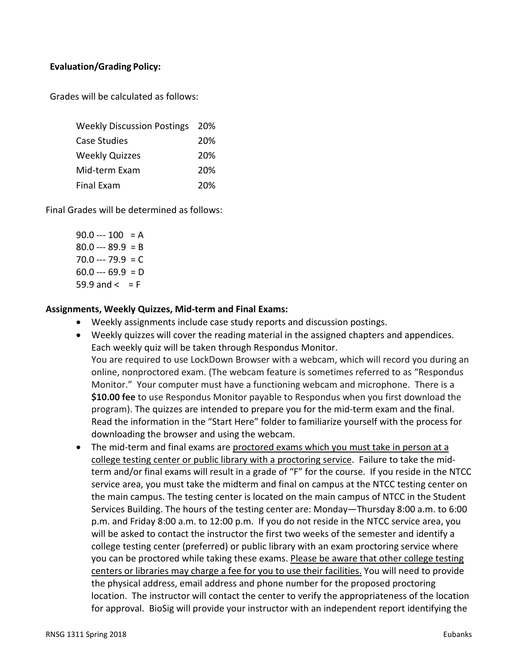#### **Evaluation/Grading Policy:**

Grades will be calculated as follows:

| <b>Weekly Discussion Postings 20%</b> |     |
|---------------------------------------|-----|
| <b>Case Studies</b>                   | 20% |
| <b>Weekly Quizzes</b>                 | 20% |
| Mid-term Exam                         | 20% |
| Final Exam                            | 20% |

Final Grades will be determined as follows:

 $90.0 -- 100 = A$  $80.0 -- 89.9 = B$  $70.0 -- 79.9 = C$  $60.0 -- 69.9 = D$ 59.9 and  $\leq$  = F

#### **Assignments, Weekly Quizzes, Mid-term and Final Exams:**

- Weekly assignments include case study reports and discussion postings.
- Weekly quizzes will cover the reading material in the assigned chapters and appendices. Each weekly quiz will be taken through Respondus Monitor. You are required to use LockDown Browser with a webcam, which will record you during an online, nonproctored exam. (The webcam feature is sometimes referred to as "Respondus Monitor." Your computer must have a functioning webcam and microphone. There is a **\$10.00 fee** to use Respondus Monitor payable to Respondus when you first download the program). The quizzes are intended to prepare you for the mid-term exam and the final. Read the information in the "Start Here" folder to familiarize yourself with the process for downloading the browser and using the webcam.
- The mid-term and final exams are proctored exams which you must take in person at a college testing center or public library with a proctoring service. Failure to take the midterm and/or final exams will result in a grade of "F" for the course. If you reside in the NTCC service area, you must take the midterm and final on campus at the NTCC testing center on the main campus. The testing center is located on the main campus of NTCC in the Student Services Building. The hours of the testing center are: Monday—Thursday 8:00 a.m. to 6:00 p.m. and Friday 8:00 a.m. to 12:00 p.m. If you do not reside in the NTCC service area, you will be asked to contact the instructor the first two weeks of the semester and identify a college testing center (preferred) or public library with an exam proctoring service where you can be proctored while taking these exams. Please be aware that other college testing centers or libraries may charge a fee for you to use their facilities. You will need to provide the physical address, email address and phone number for the proposed proctoring location. The instructor will contact the center to verify the appropriateness of the location for approval. BioSig will provide your instructor with an independent report identifying the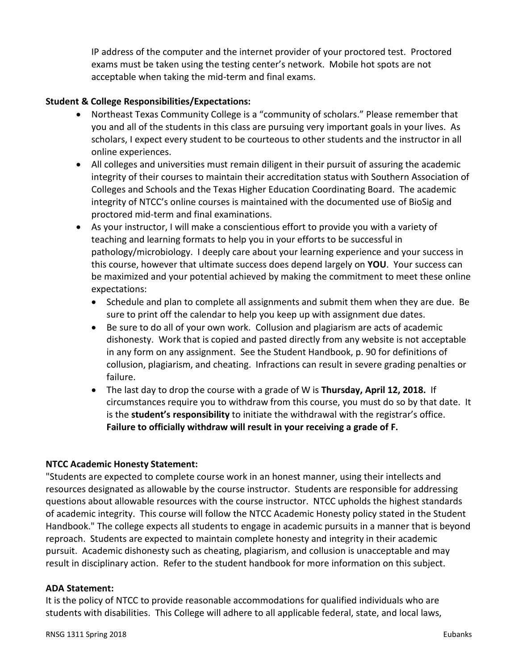IP address of the computer and the internet provider of your proctored test. Proctored exams must be taken using the testing center's network. Mobile hot spots are not acceptable when taking the mid-term and final exams.

### **Student & College Responsibilities/Expectations:**

- Northeast Texas Community College is a "community of scholars." Please remember that you and all of the students in this class are pursuing very important goals in your lives. As scholars, I expect every student to be courteous to other students and the instructor in all online experiences.
- All colleges and universities must remain diligent in their pursuit of assuring the academic integrity of their courses to maintain their accreditation status with Southern Association of Colleges and Schools and the Texas Higher Education Coordinating Board. The academic integrity of NTCC's online courses is maintained with the documented use of BioSig and proctored mid-term and final examinations.
- As your instructor, I will make a conscientious effort to provide you with a variety of teaching and learning formats to help you in your efforts to be successful in pathology/microbiology. I deeply care about your learning experience and your success in this course, however that ultimate success does depend largely on **YOU**. Your success can be maximized and your potential achieved by making the commitment to meet these online expectations:
	- Schedule and plan to complete all assignments and submit them when they are due. Be sure to print off the calendar to help you keep up with assignment due dates.
	- Be sure to do all of your own work. Collusion and plagiarism are acts of academic dishonesty. Work that is copied and pasted directly from any website is not acceptable in any form on any assignment. See the Student Handbook, p. 90 for definitions of collusion, plagiarism, and cheating. Infractions can result in severe grading penalties or failure.
	- The last day to drop the course with a grade of W is **Thursday, April 12, 2018.** If circumstances require you to withdraw from this course, you must do so by that date. It is the **student's responsibility** to initiate the withdrawal with the registrar's office. **Failure to officially withdraw will result in your receiving a grade of F.**

#### **NTCC Academic Honesty Statement:**

"Students are expected to complete course work in an honest manner, using their intellects and resources designated as allowable by the course instructor. Students are responsible for addressing questions about allowable resources with the course instructor. NTCC upholds the highest standards of academic integrity. This course will follow the NTCC Academic Honesty policy stated in the Student Handbook." The college expects all students to engage in academic pursuits in a manner that is beyond reproach. Students are expected to maintain complete honesty and integrity in their academic pursuit. Academic dishonesty such as cheating, plagiarism, and collusion is unacceptable and may result in disciplinary action. Refer to the student handbook for more information on this subject.

#### **ADA Statement:**

It is the policy of NTCC to provide reasonable accommodations for qualified individuals who are students with disabilities. This College will adhere to all applicable federal, state, and local laws,